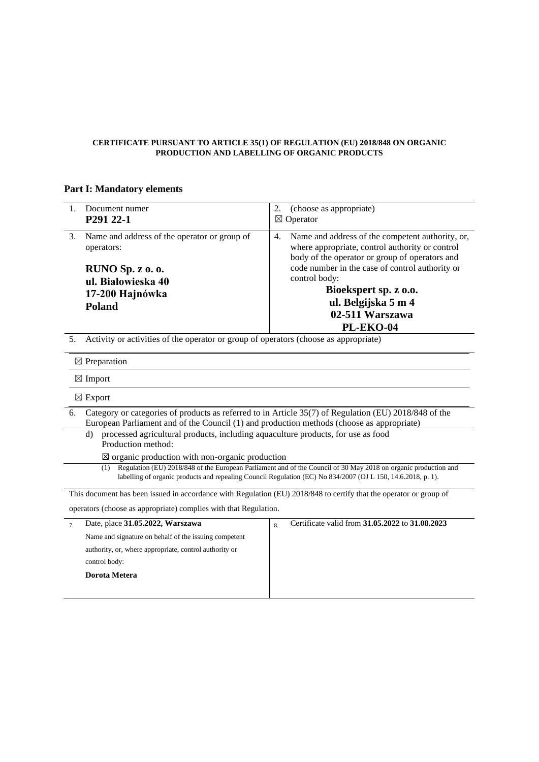## **CERTIFICATE PURSUANT TO ARTICLE 35(1) OF REGULATION (EU) 2018/848 ON ORGANIC PRODUCTION AND LABELLING OF ORGANIC PRODUCTS**

## **Part I: Mandatory elements**

| 1. | Document numer<br>P <sub>291</sub> 2 <sub>2</sub> -1                                                                                                                                                                                   | 2.<br>(choose as appropriate)<br>Operator<br>⊠                                                                                                                                                                                                                                                                  |  |  |  |
|----|----------------------------------------------------------------------------------------------------------------------------------------------------------------------------------------------------------------------------------------|-----------------------------------------------------------------------------------------------------------------------------------------------------------------------------------------------------------------------------------------------------------------------------------------------------------------|--|--|--|
| 3. | Name and address of the operator or group of<br>operators:<br>RUNO Sp. z o. o.<br>ul. Białowieska 40<br>17-200 Hajnówka<br><b>Poland</b>                                                                                               | Name and address of the competent authority, or,<br>4.<br>where appropriate, control authority or control<br>body of the operator or group of operators and<br>code number in the case of control authority or<br>control body:<br>Bioekspert sp. z o.o.<br>ul. Belgijska 5 m 4<br>02-511 Warszawa<br>PL-EKO-04 |  |  |  |
| 5. | Activity or activities of the operator or group of operators (choose as appropriate)                                                                                                                                                   |                                                                                                                                                                                                                                                                                                                 |  |  |  |
|    | $\boxtimes$ Preparation                                                                                                                                                                                                                |                                                                                                                                                                                                                                                                                                                 |  |  |  |
|    | $\boxtimes$ Import                                                                                                                                                                                                                     |                                                                                                                                                                                                                                                                                                                 |  |  |  |
|    | $\boxtimes$ Export                                                                                                                                                                                                                     |                                                                                                                                                                                                                                                                                                                 |  |  |  |
| 6. | Category or categories of products as referred to in Article 35(7) of Regulation (EU) 2018/848 of the<br>European Parliament and of the Council (1) and production methods (choose as appropriate)                                     |                                                                                                                                                                                                                                                                                                                 |  |  |  |
|    | processed agricultural products, including aquaculture products, for use as food<br>d)<br>Production method:                                                                                                                           |                                                                                                                                                                                                                                                                                                                 |  |  |  |
|    | $\boxtimes$ organic production with non-organic production                                                                                                                                                                             |                                                                                                                                                                                                                                                                                                                 |  |  |  |
|    | Regulation (EU) 2018/848 of the European Parliament and of the Council of 30 May 2018 on organic production and<br>(1)<br>labelling of organic products and repealing Council Regulation (EC) No 834/2007 (OJ L 150, 14.6.2018, p. 1). |                                                                                                                                                                                                                                                                                                                 |  |  |  |

This document has been issued in accordance with Regulation (EU) 2018/848 to certify that the operator or group of

operators (choose as appropriate) complies with that Regulation.

| Date, place 31.05.2022, Warszawa                       | 8 | Certificate valid from 31.05.2022 to 31.08.2023 |
|--------------------------------------------------------|---|-------------------------------------------------|
| Name and signature on behalf of the issuing competent  |   |                                                 |
| authority, or, where appropriate, control authority or |   |                                                 |
| control body:                                          |   |                                                 |
| Dorota Metera                                          |   |                                                 |
|                                                        |   |                                                 |
|                                                        |   |                                                 |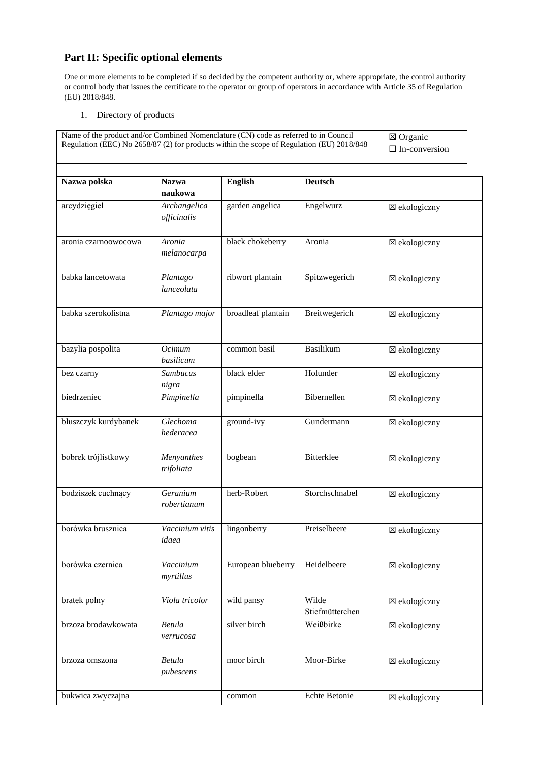## **Part II: Specific optional elements**

One or more elements to be completed if so decided by the competent authority or, where appropriate, the control authority or control body that issues the certificate to the operator or group of operators in accordance with Article 35 of Regulation (EU) 2018/848.

1. Directory of products

| Name of the product and/or Combined Nomenclature (CN) code as referred to in Council<br>Regulation (EEC) No 2658/87 (2) for products within the scope of Regulation (EU) 2018/848 | ⊠ Organic<br>$\Box$ In-conversion |                    |                          |               |
|-----------------------------------------------------------------------------------------------------------------------------------------------------------------------------------|-----------------------------------|--------------------|--------------------------|---------------|
| Nazwa polska                                                                                                                                                                      | <b>Nazwa</b><br>naukowa           | <b>English</b>     | <b>Deutsch</b>           |               |
| arcydzięgiel                                                                                                                                                                      | Archangelica<br>officinalis       | garden angelica    | Engelwurz                | ⊠ ekologiczny |
| aronia czarnoowocowa                                                                                                                                                              | Aronia<br>melanocarpa             | black chokeberry   | Aronia                   | ⊠ ekologiczny |
| babka lancetowata                                                                                                                                                                 | Plantago<br>lanceolata            | ribwort plantain   | Spitzwegerich            | ⊠ ekologiczny |
| babka szerokolistna                                                                                                                                                               | Plantago major                    | broadleaf plantain | Breitwegerich            | ⊠ ekologiczny |
| bazylia pospolita                                                                                                                                                                 | Ocimum<br>basilicum               | common basil       | Basilikum                | ⊠ ekologiczny |
| bez czarny                                                                                                                                                                        | Sambucus<br>nigra                 | black elder        | Holunder                 | ⊠ ekologiczny |
| biedrzeniec                                                                                                                                                                       | Pimpinella                        | pimpinella         | Bibernellen              | ⊠ ekologiczny |
| bluszczyk kurdybanek                                                                                                                                                              | Glechoma<br>hederacea             | ground-ivy         | Gundermann               | ⊠ ekologiczny |
| bobrek trójlistkowy                                                                                                                                                               | Menyanthes<br>trifoliata          | bogbean            | Bitterklee               | ⊠ ekologiczny |
| bodziszek cuchnący                                                                                                                                                                | Geranium<br>robertianum           | herb-Robert        | Storchschnabel           | ⊠ ekologiczny |
| borówka brusznica                                                                                                                                                                 | Vaccinium vitis<br>idaea          | lingonberry        | Preiselbeere             | ⊠ ekologiczny |
| borówka czernica                                                                                                                                                                  | Vaccinium<br>myrtillus            | European blueberry | Heidelbeere              | ⊠ ekologiczny |
| bratek polny                                                                                                                                                                      | Viola tricolor                    | wild pansy         | Wilde<br>Stiefmütterchen | ⊠ ekologiczny |
| brzoza brodawkowata                                                                                                                                                               | <b>Betula</b><br>verrucosa        | silver birch       | Weißbirke                | ⊠ ekologiczny |
| brzoza omszona                                                                                                                                                                    | <b>Betula</b><br>pubescens        | moor birch         | Moor-Birke               | ⊠ ekologiczny |
| bukwica zwyczajna                                                                                                                                                                 |                                   | common             | Echte Betonie            | ⊠ ekologiczny |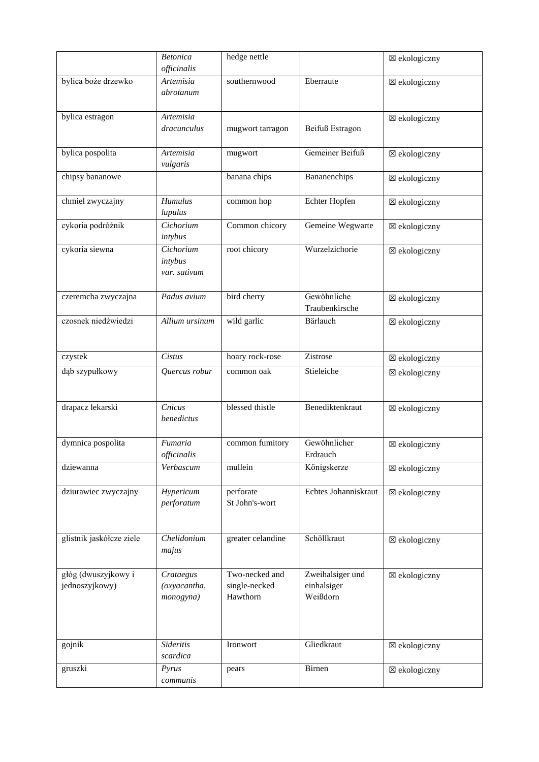|                                       | <b>Betonica</b>                        | hedge nettle                                |                                             | ⊠ ekologiczny |
|---------------------------------------|----------------------------------------|---------------------------------------------|---------------------------------------------|---------------|
|                                       | officinalis                            |                                             |                                             |               |
| bylica boże drzewko                   | Artemisia<br>abrotanum                 | southernwood                                | Eberraute                                   | ⊠ ekologiczny |
| bylica estragon                       | <b>Artemisia</b><br>dracunculus        | mugwort tarragon                            | Beifuß Estragon                             | ⊠ ekologiczny |
| bylica pospolita                      | Artemisia<br>vulgaris                  | mugwort                                     | Gemeiner Beifuß                             | ⊠ ekologiczny |
| chipsy bananowe                       |                                        | banana chips                                | Bananenchips                                | ⊠ ekologiczny |
| chmiel zwyczajny                      | <b>Humulus</b><br>lupulus              | common hop                                  | Echter Hopfen                               | ⊠ ekologiczny |
| cykoria podróżnik                     | Cichorium<br>intybus                   | Common chicory                              | Gemeine Wegwarte                            | ⊠ ekologiczny |
| cykoria siewna                        | Cichorium<br>intybus<br>var. sativum   | root chicory                                | Wurzelzichorie                              | ⊠ ekologiczny |
| czeremcha zwyczajna                   | Padus avium                            | bird cherry                                 | Gewöhnliche<br>Traubenkirsche               | ⊠ ekologiczny |
| czosnek niedźwiedzi                   | Allium ursinum                         | wild garlic                                 | Bärlauch                                    | ⊠ ekologiczny |
| czystek                               | Cistus                                 | hoary rock-rose                             | Zistrose                                    | ⊠ ekologiczny |
| dąb szypułkowy                        | Quercus robur                          | common oak                                  | Stieleiche                                  | ⊠ ekologiczny |
| drapacz lekarski                      | Cnicus<br>benedictus                   | blessed thistle                             | Benediktenkraut                             | ⊠ ekologiczny |
| dymnica pospolita                     | Fumaria<br>officinalis                 | common fumitory                             | Gewöhnlicher<br>Erdrauch                    | ⊠ ekologiczny |
| dziewanna                             | Verbascum                              | mullein                                     | Königskerze                                 | ⊠ ekologiczny |
| dziurawiec zwyczajny                  | Hypericum<br>perforatum                | perforate<br>St John's-wort                 | Echtes Johanniskraut                        | ⊠ ekologiczny |
| glistnik jaskółcze ziele              | Chelidonium<br>majus                   | greater celandine                           | Schöllkraut                                 | ⊠ ekologiczny |
| głóg (dwuszyjkowy i<br>jednoszyjkowy) | Crataegus<br>(oxyacantha,<br>monogyna) | Two-necked and<br>single-necked<br>Hawthorn | Zweihalsiger und<br>einhalsiger<br>Weißdorn | ⊠ ekologiczny |
| gojnik                                | Sideritis<br>scardica                  | Ironwort                                    | Gliedkraut                                  | ⊠ ekologiczny |
| gruszki                               | Pyrus<br>communis                      | pears                                       | Birnen                                      | ⊠ ekologiczny |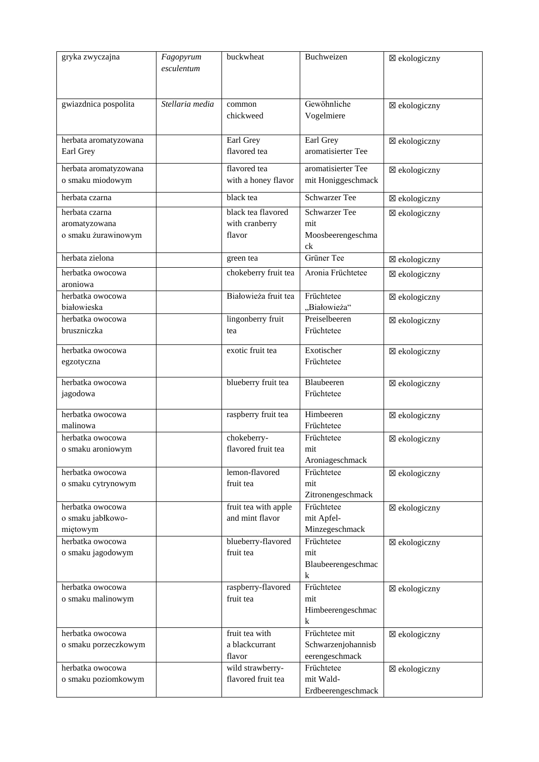| gryka zwyczajna                                        | Fagopyrum<br>esculentum | buckwheat                                      | Buchweizen                                             | ⊠ ekologiczny |
|--------------------------------------------------------|-------------------------|------------------------------------------------|--------------------------------------------------------|---------------|
| gwiazdnica pospolita                                   | Stellaria media         | common<br>chickweed                            | Gewöhnliche<br>Vogelmiere                              | ⊠ ekologiczny |
| herbata aromatyzowana<br>Earl Grey                     |                         | Earl Grey<br>flavored tea                      | Earl Grey<br>aromatisierter Tee                        | ⊠ ekologiczny |
| herbata aromatyzowana<br>o smaku miodowym              |                         | flavored tea<br>with a honey flavor            | aromatisierter Tee<br>mit Honiggeschmack               | ⊠ ekologiczny |
| herbata czarna                                         |                         | black tea                                      | <b>Schwarzer Tee</b>                                   | ⊠ ekologiczny |
| herbata czarna<br>aromatyzowana<br>o smaku żurawinowym |                         | black tea flavored<br>with cranberry<br>flavor | <b>Schwarzer Tee</b><br>mit<br>Moosbeerengeschma<br>ck | ⊠ ekologiczny |
| herbata zielona                                        |                         | green tea                                      | Grüner Tee                                             | ⊠ ekologiczny |
| herbatka owocowa<br>aroniowa                           |                         | chokeberry fruit tea                           | Aronia Früchtetee                                      | ⊠ ekologiczny |
| herbatka owocowa<br>białowieska                        |                         | Białowieża fruit tea                           | Früchtetee<br>"Białowieża"                             | ⊠ ekologiczny |
| herbatka owocowa<br>bruszniczka                        |                         | lingonberry fruit<br>tea                       | Preiselbeeren<br>Früchtetee                            | ⊠ ekologiczny |
| herbatka owocowa<br>egzotyczna                         |                         | exotic fruit tea                               | Exotischer<br>Früchtetee                               | ⊠ ekologiczny |
| herbatka owocowa<br>jagodowa                           |                         | blueberry fruit tea                            | Blaubeeren<br>Früchtetee                               | ⊠ ekologiczny |
| herbatka owocowa<br>malinowa                           |                         | raspberry fruit tea                            | Himbeeren<br>Früchtetee                                | ⊠ ekologiczny |
| herbatka owocowa<br>o smaku aroniowym                  |                         | chokeberry-<br>flavored fruit tea              | Früchtetee<br>mit<br>Aroniageschmack                   | ⊠ ekologiczny |
| herbatka owocowa<br>o smaku cytrynowym                 |                         | lemon-flavored<br>fruit tea                    | Früchtetee<br>mit<br>Zitronengeschmack                 | ⊠ ekologiczny |
| herbatka owocowa<br>o smaku jabłkowo-<br>miętowym      |                         | fruit tea with apple<br>and mint flavor        | Früchtetee<br>mit Apfel-<br>Minzegeschmack             | ⊠ ekologiczny |
| herbatka owocowa<br>o smaku jagodowym                  |                         | blueberry-flavored<br>fruit tea                | Früchtetee<br>mit<br>Blaubeerengeschmac<br>$\bf k$     | ⊠ ekologiczny |
| herbatka owocowa<br>o smaku malinowym                  |                         | raspberry-flavored<br>fruit tea                | Früchtetee<br>mit<br>Himbeerengeschmac<br>k            | ⊠ ekologiczny |
| herbatka owocowa<br>o smaku porzeczkowym               |                         | fruit tea with<br>a blackcurrant<br>flavor     | Früchtetee mit<br>Schwarzenjohannisb<br>eerengeschmack | ⊠ ekologiczny |
| herbatka owocowa<br>o smaku poziomkowym                |                         | wild strawberry-<br>flavored fruit tea         | Früchtetee<br>mit Wald-<br>Erdbeerengeschmack          | ⊠ ekologiczny |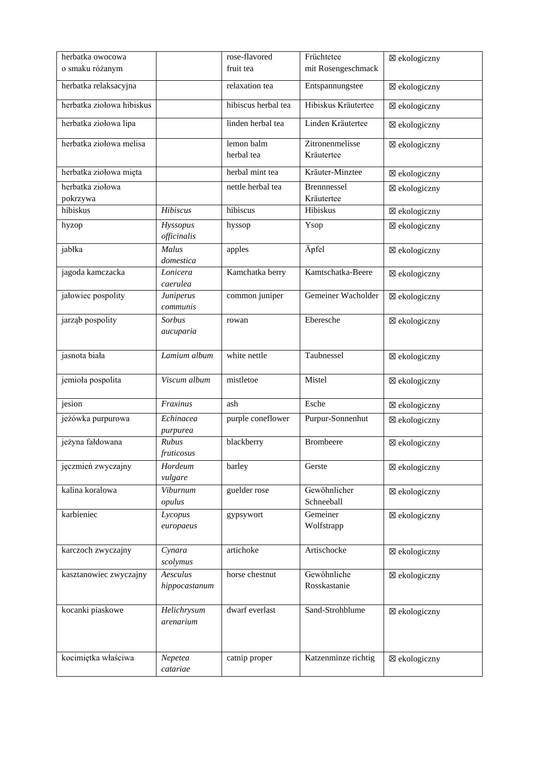| herbatka owocowa             |                            | rose-flavored<br>fruit tea | Früchtetee<br>mit Rosengeschmack | ⊠ ekologiczny |
|------------------------------|----------------------------|----------------------------|----------------------------------|---------------|
| o smaku różanym              |                            |                            |                                  |               |
| herbatka relaksacyjna        |                            | relaxation tea             | Entspannungstee                  | ⊠ ekologiczny |
| herbatka ziołowa hibiskus    |                            | hibiscus herbal tea        | Hibiskus Kräutertee              | ⊠ ekologiczny |
| herbatka ziołowa lipa        |                            | linden herbal tea          | Linden Kräutertee                | ⊠ ekologiczny |
| herbatka ziołowa melisa      |                            | lemon balm<br>herbal tea   | Zitronenmelisse<br>Kräutertee    | ⊠ ekologiczny |
| herbatka ziołowa mięta       |                            | herbal mint tea            | Kräuter-Minztee                  | ⊠ ekologiczny |
| herbatka ziołowa<br>pokrzywa |                            | nettle herbal tea          | <b>Brennnessel</b><br>Kräutertee | ⊠ ekologiczny |
| hibiskus                     | Hibiscus                   | hibiscus                   | Hibiskus                         | ⊠ ekologiczny |
| hyzop                        | Hyssopus<br>officinalis    | hyssop                     | Ysop                             | ⊠ ekologiczny |
| jabłka                       | Malus<br>domestica         | apples                     | Äpfel                            | ⊠ ekologiczny |
| jagoda kamczacka             | Lonicera<br>caerulea       | Kamchatka berry            | Kamtschatka-Beere                | ⊠ ekologiczny |
| jałowiec pospolity           | Juniperus<br>communis      | common juniper             | Gemeiner Wacholder               | ⊠ ekologiczny |
| jarząb pospolity             | <b>Sorbus</b><br>aucuparia | rowan                      | Eberesche                        | ⊠ ekologiczny |
| jasnota biała                | Lamium album               | white nettle               | Taubnessel                       | ⊠ ekologiczny |
| jemioła pospolita            | Viscum album               | mistletoe                  | Mistel                           | ⊠ ekologiczny |
| jesion                       | Fraxinus                   | ash                        | Esche                            | ⊠ ekologiczny |
| jeżówka purpurowa            | Echinacea<br>purpurea      | purple coneflower          | Purpur-Sonnenhut                 | ⊠ ekologiczny |
| jeżyna fałdowana             | Rubus<br>fruticosus        | blackberry                 | <b>Brombeere</b>                 | ⊠ ekologiczny |
| jęczmień zwyczajny           | Hordeum<br>vulgare         | barley                     | Gerste                           | ⊠ ekologiczny |
| kalina koralowa              | Viburnum<br>opulus         | guelder rose               | Gewöhnlicher<br>Schneeball       | ⊠ ekologiczny |
| karbieniec                   | Lycopus<br>europaeus       | gypsywort                  | Gemeiner<br>Wolfstrapp           | ⊠ ekologiczny |
| karczoch zwyczajny           | Cynara<br>scolymus         | artichoke                  | Artischocke                      | ⊠ ekologiczny |
| kasztanowiec zwyczajny       | Aesculus<br>hippocastanum  | horse chestnut             | Gewöhnliche<br>Rosskastanie      | ⊠ ekologiczny |
| kocanki piaskowe             | Helichrysum<br>arenarium   | dwarf everlast             | Sand-Strohblume                  | ⊠ ekologiczny |
| kocimiętka właściwa          | Nepetea<br>catariae        | catnip proper              | Katzenminze richtig              | ⊠ ekologiczny |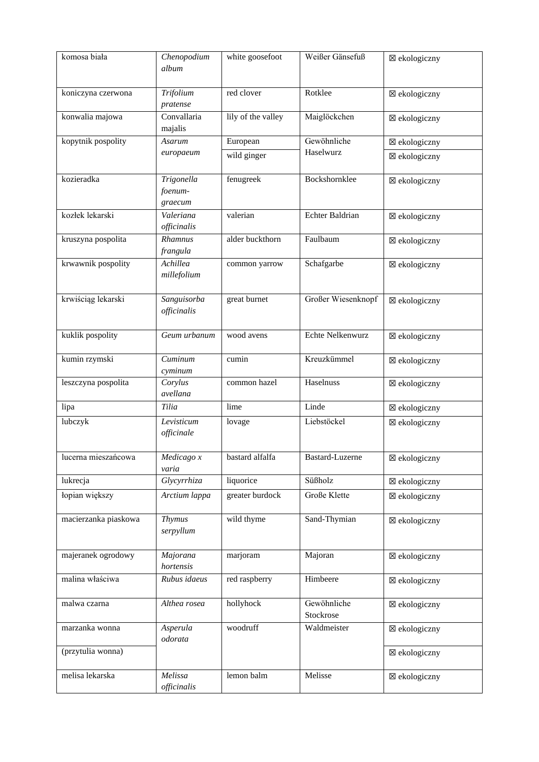| komosa biała         | Chenopodium<br>album       | white goosefoot    | Weißer Gänsefuß          | ⊠ ekologiczny           |
|----------------------|----------------------------|--------------------|--------------------------|-------------------------|
| koniczyna czerwona   | Trifolium<br>pratense      | red clover         | Rotklee                  | ⊠ ekologiczny           |
| konwalia majowa      | Convallaria<br>majalis     | lily of the valley | Maiglöckchen             | ⊠ ekologiczny           |
| kopytnik pospolity   | Asarum                     | European           | Gewöhnliche              | ⊠ ekologiczny           |
|                      | europaeum                  | wild ginger        | Haselwurz                | ⊠ ekologiczny           |
| kozieradka           | Trigonella                 | fenugreek          | Bockshornklee            | ⊠ ekologiczny           |
|                      | foenum-                    |                    |                          |                         |
|                      | graecum                    |                    |                          |                         |
| kozłek lekarski      | Valeriana<br>officinalis   | valerian           | Echter Baldrian          | ⊠ ekologiczny           |
| kruszyna pospolita   | Rhamnus<br>frangula        | alder buckthorn    | Faulbaum                 | ⊠ ekologiczny           |
| krwawnik pospolity   | Achillea<br>millefolium    | common yarrow      | Schafgarbe               | ⊠ ekologiczny           |
| krwiściąg lekarski   | Sanguisorba<br>officinalis | great burnet       | Großer Wiesenknopf       | ⊠ ekologiczny           |
| kuklik pospolity     | Geum urbanum               | wood avens         | Echte Nelkenwurz         | ⊠ ekologiczny           |
| kumin rzymski        | Cuminum<br>cyminum         | cumin              | Kreuzkümmel              | ⊠ ekologiczny           |
| leszczyna pospolita  | Corylus<br>avellana        | common hazel       | Haselnuss                | ⊠ ekologiczny           |
| lipa                 | Tilia                      | lime               | Linde                    | ⊠ ekologiczny           |
| lubczyk              | Levisticum<br>officinale   | lovage             | Liebstöckel              | ⊠ ekologiczny           |
| lucerna mieszańcowa  | Medicago x<br>varia        | bastard alfalfa    | <b>Bastard-Luzerne</b>   | $\boxtimes$ ekologiczny |
| lukrecja             | Glycyrrhiza                | liquorice          | Süßholz                  | ⊠ ekologiczny           |
| łopian większy       | Arctium lappa              | greater burdock    | Große Klette             | ⊠ ekologiczny           |
| macierzanka piaskowa | <b>Thymus</b><br>serpyllum | wild thyme         | Sand-Thymian             | ⊠ ekologiczny           |
| majeranek ogrodowy   | Majorana<br>hortensis      | marjoram           | Majoran                  | ⊠ ekologiczny           |
| malina właściwa      | Rubus idaeus               | red raspberry      | Himbeere                 | ⊠ ekologiczny           |
| malwa czarna         | Althea rosea               | hollyhock          | Gewöhnliche<br>Stockrose | ⊠ ekologiczny           |
| marzanka wonna       | Asperula<br>odorata        | woodruff           | Waldmeister              | ⊠ ekologiczny           |
| (przytulia wonna)    |                            |                    |                          | ⊠ ekologiczny           |
| melisa lekarska      | Melissa<br>officinalis     | lemon balm         | Melisse                  | ⊠ ekologiczny           |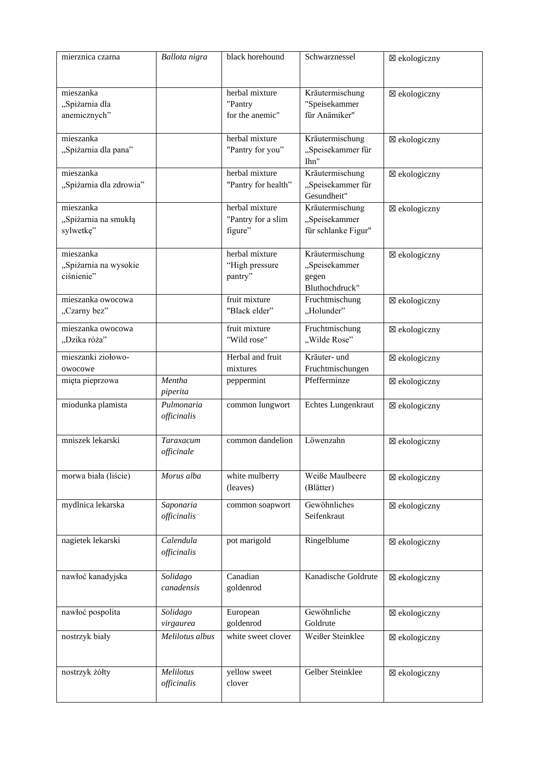| mierznica czarna                                 | Ballota nigra                  | black horehound                                 | Schwarznessel                                               | ⊠ ekologiczny |
|--------------------------------------------------|--------------------------------|-------------------------------------------------|-------------------------------------------------------------|---------------|
| mieszanka<br>"Spiżarnia dla<br>anemicznych"      |                                | herbal mixture<br>"Pantry<br>for the anemic"    | Kräutermischung<br>"Speisekammer<br>für Anämiker"           | ⊠ ekologiczny |
| mieszanka<br>"Spiżarnia dla pana"                |                                | herbal mixture<br>"Pantry for you"              | Kräutermischung<br>"Speisekammer für<br>Ihn"                | ⊠ ekologiczny |
| mieszanka<br>"Spiżarnia dla zdrowia"             |                                | herbal mixture<br>"Pantry for health"           | Kräutermischung<br>"Speisekammer für<br>Gesundheit"         | ⊠ ekologiczny |
| mieszanka<br>"Spiżarnia na smukłą<br>sylwetkę"   |                                | herbal mixture<br>"Pantry for a slim<br>figure" | Kräutermischung<br>"Speisekammer<br>für schlanke Figur"     | ⊠ ekologiczny |
| mieszanka<br>"Spiżarnia na wysokie<br>ciśnienie" |                                | herbal mixture<br>"High pressure<br>pantry"     | Kräutermischung<br>"Speisekammer<br>gegen<br>Bluthochdruck" | ⊠ ekologiczny |
| mieszanka owocowa<br>"Czarny bez"                |                                | fruit mixture<br>"Black elder"                  | Fruchtmischung<br>"Holunder"                                | ⊠ ekologiczny |
| mieszanka owocowa<br>"Dzika róża"                |                                | fruit mixture<br>"Wild rose"                    | Fruchtmischung<br>"Wilde Rose"                              | ⊠ ekologiczny |
| mieszanki ziołowo-<br>owocowe                    |                                | Herbal and fruit<br>mixtures                    | Kräuter- und<br>Fruchtmischungen                            | ⊠ ekologiczny |
| mięta pieprzowa                                  | Mentha<br>piperita             | peppermint                                      | Pfefferminze                                                | ⊠ ekologiczny |
| miodunka plamista                                | Pulmonaria<br>officinalis      | common lungwort                                 | Echtes Lungenkraut                                          | ⊠ ekologiczny |
| mniszek lekarski                                 | <b>Taraxacum</b><br>officinale | common dandelion                                | Löwenzahn                                                   | ⊠ ekologiczny |
| morwa biała (liście)                             | Morus alba                     | white mulberry<br>(leaves)                      | Weiße Maulbeere<br>(Blätter)                                | ⊠ ekologiczny |
| mydlnica lekarska                                | Saponaria<br>officinalis       | common soapwort                                 | Gewöhnliches<br>Seifenkraut                                 | ⊠ ekologiczny |
| nagietek lekarski                                | Calendula<br>officinalis       | pot marigold                                    | Ringelblume                                                 | ⊠ ekologiczny |
| nawłoć kanadyjska                                | Solidago<br>canadensis         | Canadian<br>goldenrod                           | Kanadische Goldrute                                         | ⊠ ekologiczny |
| nawłoć pospolita                                 | Solidago<br>virgaurea          | European<br>goldenrod                           | Gewöhnliche<br>Goldrute                                     | ⊠ ekologiczny |
| nostrzyk biały                                   | Melilotus albus                | white sweet clover                              | Weißer Steinklee                                            | ⊠ ekologiczny |
| nostrzyk żółty                                   | Melilotus<br>officinalis       | yellow sweet<br>clover                          | Gelber Steinklee                                            | ⊠ ekologiczny |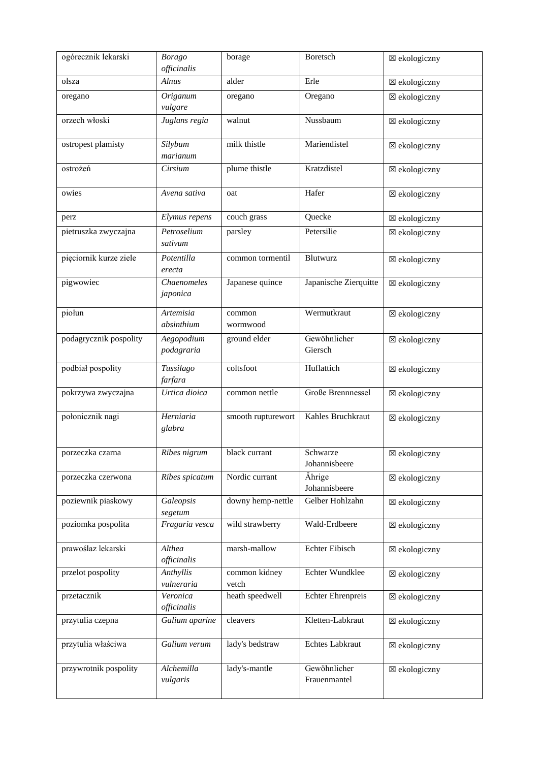| ogórecznik lekarski    | <b>Borago</b><br>officinalis | borage                 | Boretsch                     | ⊠ ekologiczny |
|------------------------|------------------------------|------------------------|------------------------------|---------------|
| olsza                  | Alnus                        | alder                  | Erle                         | ⊠ ekologiczny |
| oregano                | Origanum<br>vulgare          | oregano                | Oregano                      | ⊠ ekologiczny |
| orzech włoski          | Juglans regia                | walnut                 | Nussbaum                     | ⊠ ekologiczny |
| ostropest plamisty     | Silybum<br>marianum          | milk thistle           | Mariendistel                 | ⊠ ekologiczny |
| ostrożeń               | Cirsium                      | plume thistle          | Kratzdistel                  | ⊠ ekologiczny |
| owies                  | Avena sativa                 | oat                    | Hafer                        | ⊠ ekologiczny |
| perz                   | Elymus repens                | couch grass            | Quecke                       | ⊠ ekologiczny |
| pietruszka zwyczajna   | Petroselium<br>sativum       | parsley                | Petersilie                   | ⊠ ekologiczny |
| pięciornik kurze ziele | Potentilla<br>erecta         | common tormentil       | Blutwurz                     | ⊠ ekologiczny |
| pigwowiec              | Chaenomeles<br>japonica      | Japanese quince        | Japanische Zierquitte        | ⊠ ekologiczny |
| piołun                 | Artemisia<br>absinthium      | common<br>wormwood     | Wermutkraut                  | ⊠ ekologiczny |
| podagrycznik pospolity | Aegopodium<br>podagraria     | ground elder           | Gewöhnlicher<br>Giersch      | ⊠ ekologiczny |
| podbiał pospolity      | Tussilago<br>farfara         | coltsfoot              | Huflattich                   | ⊠ ekologiczny |
| pokrzywa zwyczajna     | Urtica dioica                | common nettle          | Große Brennnessel            | ⊠ ekologiczny |
| połonicznik nagi       | Herniaria<br>glabra          | smooth rupturewort     | Kahles Bruchkraut            | ⊠ ekologiczny |
| porzeczka czarna       | Ribes nigrum                 | black currant          | Schwarze<br>Johannisbeere    | ⊠ ekologiczny |
| porzeczka czerwona     | Ribes spicatum               | Nordic currant         | Ährige<br>Johannisbeere      | ⊠ ekologiczny |
| poziewnik piaskowy     | Galeopsis<br>segetum         | downy hemp-nettle      | Gelber Hohlzahn              | ⊠ ekologiczny |
| poziomka pospolita     | Fragaria vesca               | wild strawberry        | Wald-Erdbeere                | ⊠ ekologiczny |
| prawoślaz lekarski     | Althea<br>officinalis        | marsh-mallow           | Echter Eibisch               | ⊠ ekologiczny |
| przelot pospolity      | Anthyllis<br>vulneraria      | common kidney<br>vetch | Echter Wundklee              | ⊠ ekologiczny |
| przetacznik            | Veronica<br>officinalis      | heath speedwell        | <b>Echter Ehrenpreis</b>     | ⊠ ekologiczny |
| przytulia czepna       | Galium aparine               | cleavers               | Kletten-Labkraut             | ⊠ ekologiczny |
| przytulia właściwa     | Galium verum                 | lady's bedstraw        | Echtes Labkraut              | ⊠ ekologiczny |
| przywrotnik pospolity  | Alchemilla<br>vulgaris       | lady's-mantle          | Gewöhnlicher<br>Frauenmantel | ⊠ ekologiczny |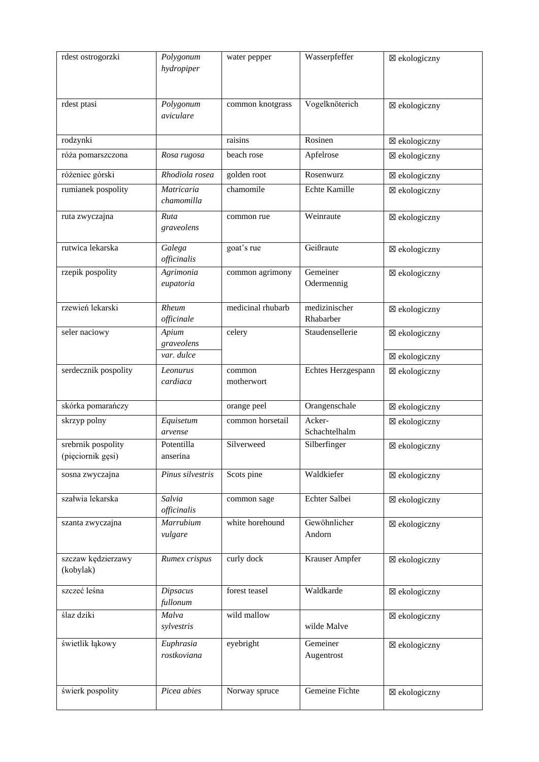| rdest ostrogorzki                       | Polygonum<br>hydropiper     | water pepper         | Wasserpfeffer              | ⊠ ekologiczny |
|-----------------------------------------|-----------------------------|----------------------|----------------------------|---------------|
| rdest ptasi                             | Polygonum<br>aviculare      | common knotgrass     | Vogelknöterich             | ⊠ ekologiczny |
| rodzynki                                |                             | raisins              | Rosinen                    | ⊠ ekologiczny |
| róża pomarszczona                       | Rosa rugosa                 | beach rose           | Apfelrose                  | ⊠ ekologiczny |
| różeniec górski                         | Rhodiola rosea              | golden root          | Rosenwurz                  | ⊠ ekologiczny |
| rumianek pospolity                      | Matricaria<br>chamomilla    | chamomile            | Echte Kamille              | ⊠ ekologiczny |
| ruta zwyczajna                          | Ruta<br>graveolens          | common rue           | Weinraute                  | ⊠ ekologiczny |
| rutwica lekarska                        | Galega<br>officinalis       | goat's rue           | Geißraute                  | ⊠ ekologiczny |
| rzepik pospolity                        | Agrimonia<br>eupatoria      | common agrimony      | Gemeiner<br>Odermennig     | ⊠ ekologiczny |
| rzewień lekarski                        | Rheum<br>officinale         | medicinal rhubarb    | medizinischer<br>Rhabarber | ⊠ ekologiczny |
| seler naciowy                           | Apium<br>graveolens         | celery               | Staudensellerie            | ⊠ ekologiczny |
|                                         | var. dulce                  |                      |                            | ⊠ ekologiczny |
| serdecznik pospolity                    | Leonurus<br>cardiaca        | common<br>motherwort | Echtes Herzgespann         | ⊠ ekologiczny |
| skórka pomarańczy                       |                             | orange peel          | Orangenschale              | ⊠ ekologiczny |
| skrzyp polny                            | Equisetum<br>arvense        | common horsetail     | Acker-<br>Schachtelhalm    | ⊠ ekologiczny |
| srebrnik pospolity<br>(pięciornik gęsi) | Potentilla<br>anserina      | Silverweed           | Silberfinger               | ⊠ ekologiczny |
| sosna zwyczajna                         | Pinus silvestris            | Scots pine           | Waldkiefer                 | ⊠ ekologiczny |
| szałwia lekarska                        | Salvia<br>officinalis       | common sage          | Echter Salbei              | ⊠ ekologiczny |
| szanta zwyczajna                        | <b>Marrubium</b><br>vulgare | white horehound      | Gewöhnlicher<br>Andorn     | ⊠ ekologiczny |
| szczaw kędzierzawy<br>(kobylak)         | Rumex crispus               | curly dock           | Krauser Ampfer             | ⊠ ekologiczny |
| szczeć leśna                            | <b>Dipsacus</b><br>fullonum | forest teasel        | Waldkarde                  | ⊠ ekologiczny |
| ślaz dziki                              | Malva<br>sylvestris         | wild mallow          | wilde Malve                | ⊠ ekologiczny |
| świetlik łąkowy                         | Euphrasia<br>rostkoviana    | eyebright            | Gemeiner<br>Augentrost     | ⊠ ekologiczny |
| świerk pospolity                        | Picea abies                 | Norway spruce        | Gemeine Fichte             | ⊠ ekologiczny |